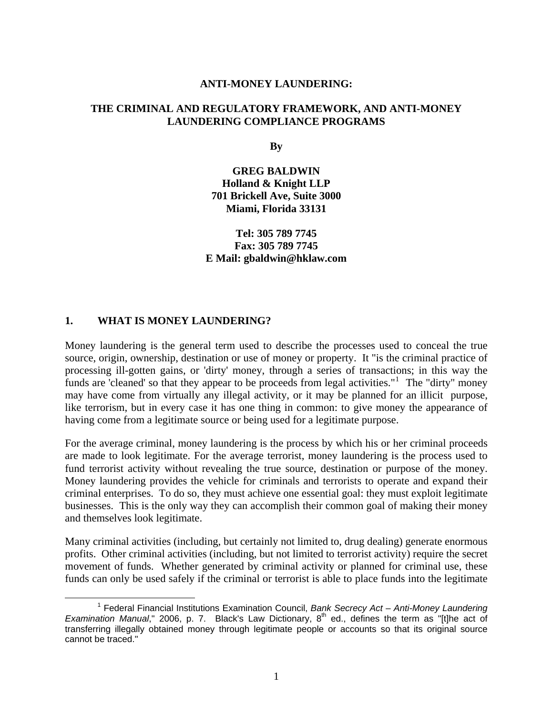#### **ANTI-MONEY LAUNDERING:**

#### **THE CRIMINAL AND REGULATORY FRAMEWORK, AND ANTI-MONEY LAUNDERING COMPLIANCE PROGRAMS**

**By** 

**GREG BALDWIN Holland & Knight LLP 701 Brickell Ave, Suite 3000 Miami, Florida 33131** 

#### **Tel: 305 789 7745 Fax: 305 789 7745 E Mail: gbaldwin@hklaw.com**

#### **1. WHAT IS MONEY LAUNDERING?**

Money laundering is the general term used to describe the processes used to conceal the true source, origin, ownership, destination or use of money or property. It "is the criminal practice of processing ill-gotten gains, or 'dirty' money, through a series of transactions; in this way the funds are 'cleaned' so that they appear to be proceeds from legal activities."<sup>[1](#page-0-0)</sup> The "dirty" money may have come from virtually any illegal activity, or it may be planned for an illicit purpose, like terrorism, but in every case it has one thing in common: to give money the appearance of having come from a legitimate source or being used for a legitimate purpose.

For the average criminal, money laundering is the process by which his or her criminal proceeds are made to look legitimate. For the average terrorist, money laundering is the process used to fund terrorist activity without revealing the true source, destination or purpose of the money. Money laundering provides the vehicle for criminals and terrorists to operate and expand their criminal enterprises. To do so, they must achieve one essential goal: they must exploit legitimate businesses. This is the only way they can accomplish their common goal of making their money and themselves look legitimate.

Many criminal activities (including, but certainly not limited to, drug dealing) generate enormous profits. Other criminal activities (including, but not limited to terrorist activity) require the secret movement of funds. Whether generated by criminal activity or planned for criminal use, these funds can only be used safely if the criminal or terrorist is able to place funds into the legitimate

<span id="page-0-0"></span> $\frac{1}{1}$  Federal Financial Institutions Examination Council, *Bank Secrecy Act – Anti-Money Laundering Examination Manual*," 2006, p. 7. Black's Law Dictionary, 8<sup>th</sup> ed., defines the term as "[t]he act of transferring illegally obtained money through legitimate people or accounts so that its original source cannot be traced."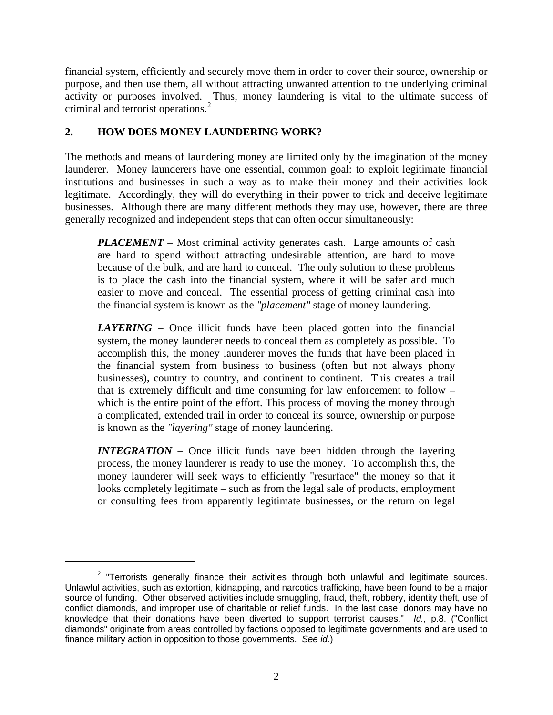financial system, efficiently and securely move them in order to cover their source, ownership or purpose, and then use them, all without attracting unwanted attention to the underlying criminal activity or purposes involved. Thus, money laundering is vital to the ultimate success of criminal and terrorist operations.<sup>[2](#page-1-0)</sup>

# **2. HOW DOES MONEY LAUNDERING WORK?**

 $\overline{a}$ 

The methods and means of laundering money are limited only by the imagination of the money launderer. Money launderers have one essential, common goal: to exploit legitimate financial institutions and businesses in such a way as to make their money and their activities look legitimate. Accordingly, they will do everything in their power to trick and deceive legitimate businesses. Although there are many different methods they may use, however, there are three generally recognized and independent steps that can often occur simultaneously:

*PLACEMENT* – Most criminal activity generates cash. Large amounts of cash are hard to spend without attracting undesirable attention, are hard to move because of the bulk, and are hard to conceal. The only solution to these problems is to place the cash into the financial system, where it will be safer and much easier to move and conceal. The essential process of getting criminal cash into the financial system is known as the *"placement"* stage of money laundering.

*LAYERING* – Once illicit funds have been placed gotten into the financial system, the money launderer needs to conceal them as completely as possible. To accomplish this, the money launderer moves the funds that have been placed in the financial system from business to business (often but not always phony businesses), country to country, and continent to continent. This creates a trail that is extremely difficult and time consuming for law enforcement to follow – which is the entire point of the effort. This process of moving the money through a complicated, extended trail in order to conceal its source, ownership or purpose is known as the *"layering"* stage of money laundering.

*INTEGRATION* – Once illicit funds have been hidden through the layering process, the money launderer is ready to use the money. To accomplish this, the money launderer will seek ways to efficiently "resurface" the money so that it looks completely legitimate – such as from the legal sale of products, employment or consulting fees from apparently legitimate businesses, or the return on legal

<span id="page-1-0"></span> $2$  "Terrorists generally finance their activities through both unlawful and legitimate sources. Unlawful activities, such as extortion, kidnapping, and narcotics trafficking, have been found to be a major source of funding. Other observed activities include smuggling, fraud, theft, robbery, identity theft, use of conflict diamonds, and improper use of charitable or relief funds. In the last case, donors may have no knowledge that their donations have been diverted to support terrorist causes." *Id.,* p.8. ("Conflict diamonds" originate from areas controlled by factions opposed to legitimate governments and are used to finance military action in opposition to those governments. *See id.*)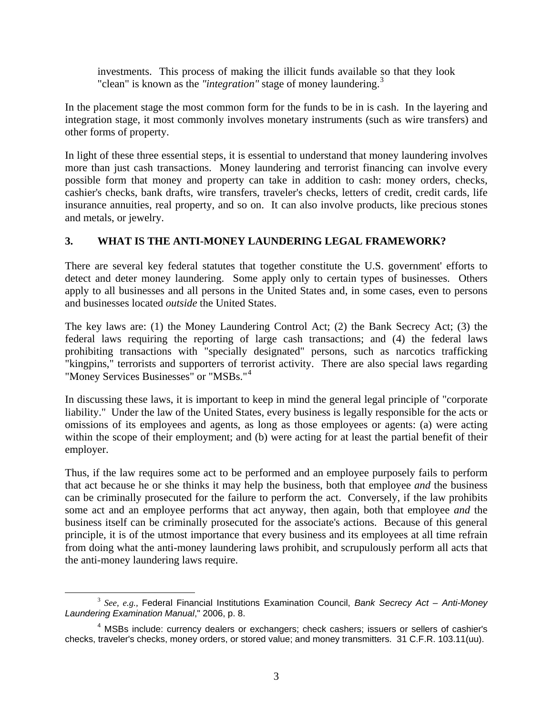investments. This process of making the illicit funds available so that they look "clean" is known as the "integration" stage of money laundering.<sup>[3](#page-2-0)</sup>

In the placement stage the most common form for the funds to be in is cash. In the layering and integration stage, it most commonly involves monetary instruments (such as wire transfers) and other forms of property.

In light of these three essential steps, it is essential to understand that money laundering involves more than just cash transactions. Money laundering and terrorist financing can involve every possible form that money and property can take in addition to cash: money orders, checks, cashier's checks, bank drafts, wire transfers, traveler's checks, letters of credit, credit cards, life insurance annuities, real property, and so on. It can also involve products, like precious stones and metals, or jewelry.

### **3. WHAT IS THE ANTI-MONEY LAUNDERING LEGAL FRAMEWORK?**

There are several key federal statutes that together constitute the U.S. government' efforts to detect and deter money laundering. Some apply only to certain types of businesses. Others apply to all businesses and all persons in the United States and, in some cases, even to persons and businesses located *outside* the United States.

The key laws are: (1) the Money Laundering Control Act; (2) the Bank Secrecy Act; (3) the federal laws requiring the reporting of large cash transactions; and (4) the federal laws prohibiting transactions with "specially designated" persons, such as narcotics trafficking "kingpins," terrorists and supporters of terrorist activity. There are also special laws regarding "Money Services Businesses" or "MSBs."[4](#page-2-1)

In discussing these laws, it is important to keep in mind the general legal principle of "corporate liability." Under the law of the United States, every business is legally responsible for the acts or omissions of its employees and agents, as long as those employees or agents: (a) were acting within the scope of their employment; and (b) were acting for at least the partial benefit of their employer.

Thus, if the law requires some act to be performed and an employee purposely fails to perform that act because he or she thinks it may help the business, both that employee *and* the business can be criminally prosecuted for the failure to perform the act. Conversely, if the law prohibits some act and an employee performs that act anyway, then again, both that employee *and* the business itself can be criminally prosecuted for the associate's actions. Because of this general principle, it is of the utmost importance that every business and its employees at all time refrain from doing what the anti-money laundering laws prohibit, and scrupulously perform all acts that the anti-money laundering laws require.

<span id="page-2-0"></span> <sup>3</sup> *See, e.g.,* Federal Financial Institutions Examination Council, *Bank Secrecy Act – Anti-Money Laundering Examination Manual*," 2006, p. 8.

<span id="page-2-1"></span><sup>&</sup>lt;sup>4</sup> MSBs include: currency dealers or exchangers; check cashers; issuers or sellers of cashier's checks, traveler's checks, money orders, or stored value; and money transmitters. 31 C.F.R. 103.11(uu).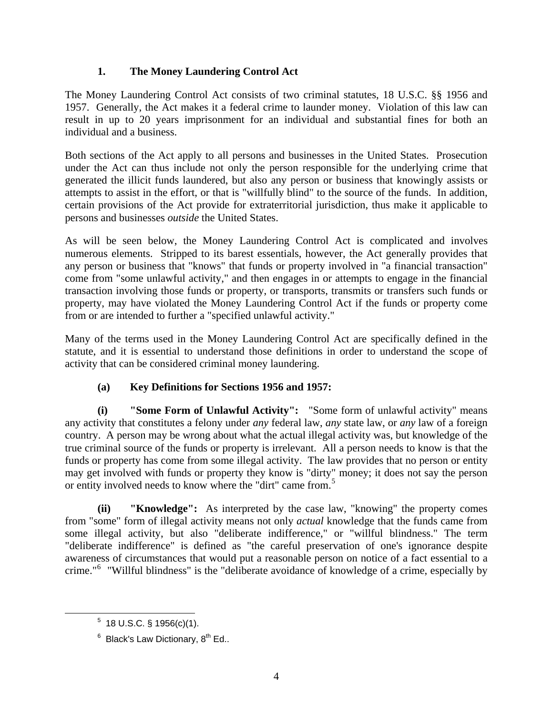# **1. The Money Laundering Control Act**

The Money Laundering Control Act consists of two criminal statutes, 18 U.S.C. §§ 1956 and 1957. Generally, the Act makes it a federal crime to launder money. Violation of this law can result in up to 20 years imprisonment for an individual and substantial fines for both an individual and a business.

Both sections of the Act apply to all persons and businesses in the United States. Prosecution under the Act can thus include not only the person responsible for the underlying crime that generated the illicit funds laundered, but also any person or business that knowingly assists or attempts to assist in the effort, or that is "willfully blind" to the source of the funds. In addition, certain provisions of the Act provide for extraterritorial jurisdiction, thus make it applicable to persons and businesses *outside* the United States.

As will be seen below, the Money Laundering Control Act is complicated and involves numerous elements. Stripped to its barest essentials, however, the Act generally provides that any person or business that "knows" that funds or property involved in "a financial transaction" come from "some unlawful activity," and then engages in or attempts to engage in the financial transaction involving those funds or property, or transports, transmits or transfers such funds or property, may have violated the Money Laundering Control Act if the funds or property come from or are intended to further a "specified unlawful activity."

Many of the terms used in the Money Laundering Control Act are specifically defined in the statute, and it is essential to understand those definitions in order to understand the scope of activity that can be considered criminal money laundering.

# **(a) Key Definitions for Sections 1956 and 1957:**

**(i) "Some Form of Unlawful Activity":** "Some form of unlawful activity" means any activity that constitutes a felony under *any* federal law, *any* state law, or *any* law of a foreign country. A person may be wrong about what the actual illegal activity was, but knowledge of the true criminal source of the funds or property is irrelevant. All a person needs to know is that the funds or property has come from some illegal activity. The law provides that no person or entity may get involved with funds or property they know is "dirty" money; it does not say the person or entity involved needs to know where the "dirt" came from.[5](#page-3-0)

**(ii) "Knowledge":** As interpreted by the case law, "knowing" the property comes from "some" form of illegal activity means not only *actual* knowledge that the funds came from some illegal activity, but also "deliberate indifference," or "willful blindness." The term "deliberate indifference" is defined as "the careful preservation of one's ignorance despite awareness of circumstances that would put a reasonable person on notice of a fact essential to a crime."[6](#page-3-1) "Willful blindness" is the "deliberate avoidance of knowledge of a crime, especially by

<span id="page-3-1"></span><span id="page-3-0"></span><sup>5</sup>  $5$  18 U.S.C. § 1956(c)(1).

 $6$  Black's Law Dictionary,  $8^{th}$  Ed..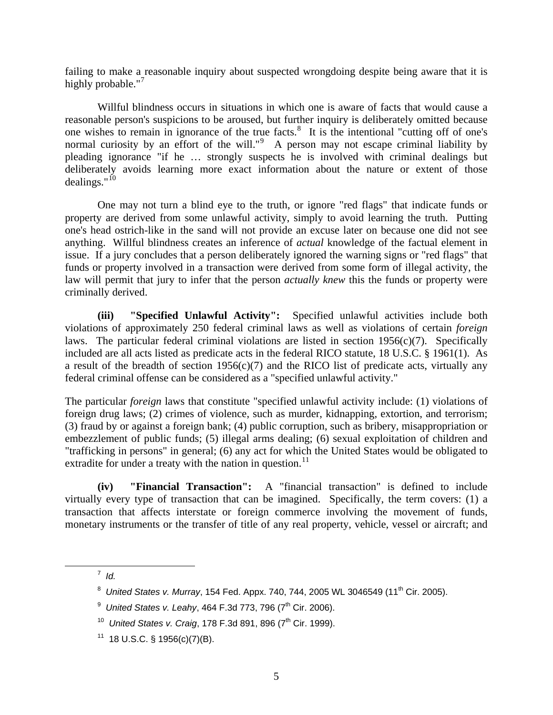failing to make a reasonable inquiry about suspected wrongdoing despite being aware that it is highly probable."<sup>[7](#page-4-0)</sup>

Willful blindness occurs in situations in which one is aware of facts that would cause a reasonable person's suspicions to be aroused, but further inquiry is deliberately omitted because one wishes to remain in ignorance of the true facts. $8$  It is the intentional "cutting off of one's normal curiosity by an effort of the will."<sup>[9](#page-4-2)</sup> A person may not escape criminal liability by pleading ignorance "if he … strongly suspects he is involved with criminal dealings but deliberately avoids learning more exact information about the nature or extent of those dealings." $^{10}$  $^{10}$  $^{10}$ 

One may not turn a blind eye to the truth, or ignore "red flags" that indicate funds or property are derived from some unlawful activity, simply to avoid learning the truth. Putting one's head ostrich-like in the sand will not provide an excuse later on because one did not see anything. Willful blindness creates an inference of *actual* knowledge of the factual element in issue. If a jury concludes that a person deliberately ignored the warning signs or "red flags" that funds or property involved in a transaction were derived from some form of illegal activity, the law will permit that jury to infer that the person *actually knew* this the funds or property were criminally derived.

**(iii) "Specified Unlawful Activity":** Specified unlawful activities include both violations of approximately 250 federal criminal laws as well as violations of certain *foreign*  laws. The particular federal criminal violations are listed in section  $1956(c)(7)$ . Specifically included are all acts listed as predicate acts in the federal RICO statute, 18 U.S.C. § 1961(1). As a result of the breadth of section  $1956(c)(7)$  and the RICO list of predicate acts, virtually any federal criminal offense can be considered as a "specified unlawful activity."

The particular *foreign* laws that constitute "specified unlawful activity include: (1) violations of foreign drug laws; (2) crimes of violence, such as murder, kidnapping, extortion, and terrorism; (3) fraud by or against a foreign bank; (4) public corruption, such as bribery, misappropriation or embezzlement of public funds; (5) illegal arms dealing; (6) sexual exploitation of children and "trafficking in persons" in general; (6) any act for which the United States would be obligated to extradite for under a treaty with the nation in question.<sup>[11](#page-4-4)</sup>

**(iv) "Financial Transaction":** A "financial transaction" is defined to include virtually every type of transaction that can be imagined. Specifically, the term covers: (1) a transaction that affects interstate or foreign commerce involving the movement of funds, monetary instruments or the transfer of title of any real property, vehicle, vessel or aircraft; and

<span id="page-4-3"></span><span id="page-4-2"></span><span id="page-4-1"></span><span id="page-4-0"></span> $\overline{7}$  $^7$  *Id.* 

<sup>&</sup>lt;sup>8</sup> United States v. Murray, 154 Fed. Appx. 740, 744, 2005 WL 3046549 (11<sup>th</sup> Cir. 2005).

<sup>&</sup>lt;sup>9</sup> United States v. Leahy, 464 F.3d 773, 796 (7<sup>th</sup> Cir. 2006).

<sup>&</sup>lt;sup>10</sup> *United States v. Craig*, 178 F.3d 891, 896 (7<sup>th</sup> Cir. 1999).

<span id="page-4-4"></span> $11$  18 U.S.C. § 1956(c)(7)(B).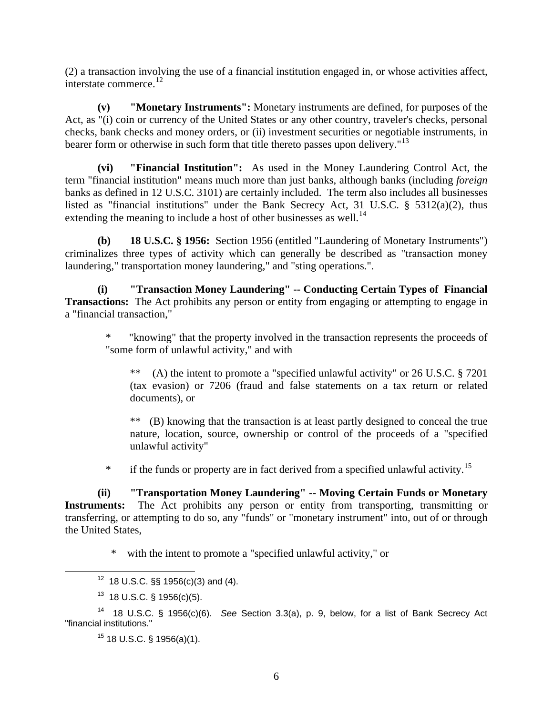(2) a transaction involving the use of a financial institution engaged in, or whose activities affect, interstate commerce.[12](#page-5-0)

**(v) "Monetary Instruments":** Monetary instruments are defined, for purposes of the Act, as "(i) coin or currency of the United States or any other country, traveler's checks, personal checks, bank checks and money orders, or (ii) investment securities or negotiable instruments, in bearer form or otherwise in such form that title thereto passes upon delivery."<sup>[13](#page-5-1)</sup>

**(vi) "Financial Institution":** As used in the Money Laundering Control Act, the term "financial institution" means much more than just banks, although banks (including *foreign*  banks as defined in 12 U.S.C. 3101) are certainly included. The term also includes all businesses listed as "financial institutions" under the Bank Secrecy Act, 31 U.S.C. § 5312(a)(2), thus extending the meaning to include a host of other businesses as well.<sup>[14](#page-5-2)</sup>

**(b) 18 U.S.C. § 1956:** Section 1956 (entitled "Laundering of Monetary Instruments") criminalizes three types of activity which can generally be described as "transaction money laundering," transportation money laundering," and "sting operations.".

**(i) "Transaction Money Laundering" -- Conducting Certain Types of Financial Transactions:** The Act prohibits any person or entity from engaging or attempting to engage in a "financial transaction,"

"knowing" that the property involved in the transaction represents the proceeds of "some form of unlawful activity," and with

\*\* (A) the intent to promote a "specified unlawful activity" or 26 U.S.C. § 7201 (tax evasion) or 7206 (fraud and false statements on a tax return or related documents), or

\*\* (B) knowing that the transaction is at least partly designed to conceal the true nature, location, source, ownership or control of the proceeds of a "specified unlawful activity"

<sup>\*</sup> if the funds or property are in fact derived from a specified unlawful activity.<sup>[15](#page-5-3)</sup>

**(ii) "Transportation Money Laundering" -- Moving Certain Funds or Monetary**  Instruments: The Act prohibits any person or entity from transporting, transmitting or transferring, or attempting to do so, any "funds" or "monetary instrument" into, out of or through the United States,

\* with the intent to promote a "specified unlawful activity," or

 $12$  18 U.S.C. §§ 1956(c)(3) and (4).

 $13$  18 U.S.C. § 1956(c)(5).

<span id="page-5-3"></span><span id="page-5-2"></span><span id="page-5-1"></span><span id="page-5-0"></span><sup>14 18</sup> U.S.C. § 1956(c)(6). *See* Section 3.3(a), p. 9, below, for a list of Bank Secrecy Act "financial institutions."

 $15$  18 U.S.C. § 1956(a)(1).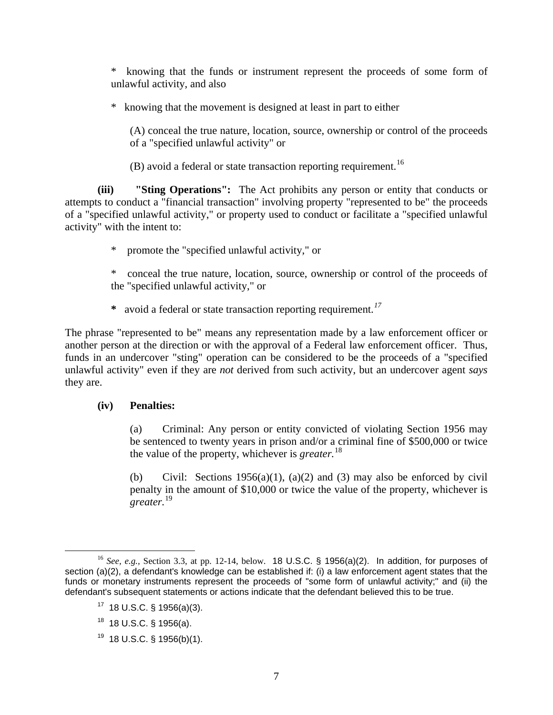\* knowing that the funds or instrument represent the proceeds of some form of unlawful activity, and also

\* knowing that the movement is designed at least in part to either

(A) conceal the true nature, location, source, ownership or control of the proceeds of a "specified unlawful activity" or

 $(B)$  avoid a federal or state transaction reporting requirement.<sup>[16](#page-6-0)</sup>

**(iii) "Sting Operations":** The Act prohibits any person or entity that conducts or attempts to conduct a "financial transaction" involving property "represented to be" the proceeds of a "specified unlawful activity," or property used to conduct or facilitate a "specified unlawful activity" with the intent to:

\* promote the "specified unlawful activity," or

\* conceal the true nature, location, source, ownership or control of the proceeds of the "specified unlawful activity," or

 **\*** avoid a federal or state transaction reporting requirement.*[17](#page-6-1)*

The phrase "represented to be" means any representation made by a law enforcement officer or another person at the direction or with the approval of a Federal law enforcement officer. Thus, funds in an undercover "sting" operation can be considered to be the proceeds of a "specified unlawful activity" even if they are *not* derived from such activity, but an undercover agent *says*  they are.

#### **(iv) Penalties:**

(a) Criminal: Any person or entity convicted of violating Section 1956 may be sentenced to twenty years in prison and/or a criminal fine of \$500,000 or twice the value of the property, whichever is *greater.*[18](#page-6-2)

(b) Civil: Sections 1956(a)(1), (a)(2) and (3) may also be enforced by civil penalty in the amount of \$10,000 or twice the value of the property, whichever is *greater.*[19](#page-6-3)

<span id="page-6-3"></span> $19$  18 U.S.C. § 1956(b)(1).

<span id="page-6-2"></span><span id="page-6-1"></span><span id="page-6-0"></span> <sup>16</sup> *See, e.g.,* Section 3.3, at pp. 12-14, below. 18 U.S.C. § 1956(a)(2). In addition, for purposes of section (a)(2), a defendant's knowledge can be established if: (i) a law enforcement agent states that the funds or monetary instruments represent the proceeds of "some form of unlawful activity;" and (ii) the defendant's subsequent statements or actions indicate that the defendant believed this to be true.

 $17$  18 U.S.C. § 1956(a)(3).

 $18$  18 U.S.C. § 1956(a).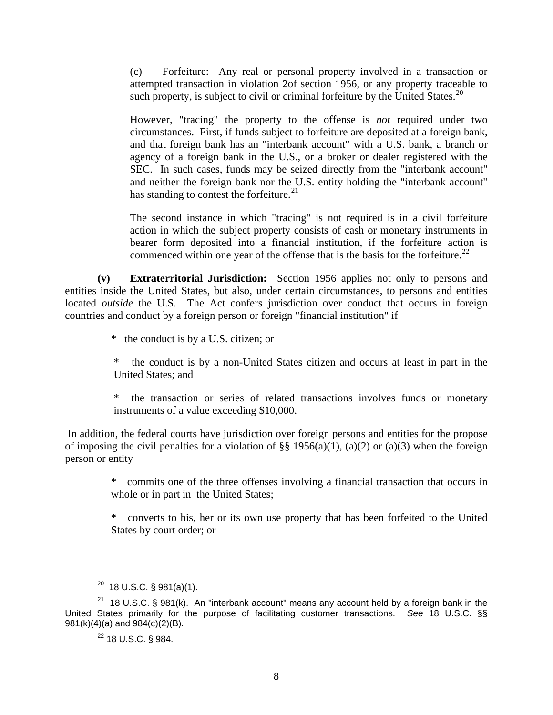(c) Forfeiture: Any real or personal property involved in a transaction or attempted transaction in violation 2of section 1956, or any property traceable to such property, is subject to civil or criminal forfeiture by the United States. $^{20}$  $^{20}$  $^{20}$ 

However, "tracing" the property to the offense is *not* required under two circumstances. First, if funds subject to forfeiture are deposited at a foreign bank, and that foreign bank has an "interbank account" with a U.S. bank, a branch or agency of a foreign bank in the U.S., or a broker or dealer registered with the SEC. In such cases, funds may be seized directly from the "interbank account" and neither the foreign bank nor the U.S. entity holding the "interbank account" has standing to contest the forfeiture. $21$ 

The second instance in which "tracing" is not required is in a civil forfeiture action in which the subject property consists of cash or monetary instruments in bearer form deposited into a financial institution, if the forfeiture action is commenced within one year of the offense that is the basis for the forfeiture.<sup>[22](#page-7-2)</sup>

**(v) Extraterritorial Jurisdiction:** Section 1956 applies not only to persons and entities inside the United States, but also, under certain circumstances, to persons and entities located *outside* the U.S. The Act confers jurisdiction over conduct that occurs in foreign countries and conduct by a foreign person or foreign "financial institution" if

\* the conduct is by a U.S. citizen; or

the conduct is by a non-United States citizen and occurs at least in part in the United States; and

\* the transaction or series of related transactions involves funds or monetary instruments of a value exceeding \$10,000.

 In addition, the federal courts have jurisdiction over foreign persons and entities for the propose of imposing the civil penalties for a violation of  $\S$ § 1956(a)(1), (a)(2) or (a)(3) when the foreign person or entity

> \* commits one of the three offenses involving a financial transaction that occurs in whole or in part in the United States;

> \* converts to his, her or its own use property that has been forfeited to the United States by court order; or

 $20$  18 U.S.C. § 981(a)(1).

<span id="page-7-2"></span><span id="page-7-1"></span><span id="page-7-0"></span><sup>&</sup>lt;sup>21</sup> 18 U.S.C. § 981(k). An "interbank account" means any account held by a foreign bank in the United States primarily for the purpose of facilitating customer transactions. *See* 18 U.S.C. §§ 981(k)(4)(a) and 984(c)(2)(B).

 $22$  18 U.S.C. § 984.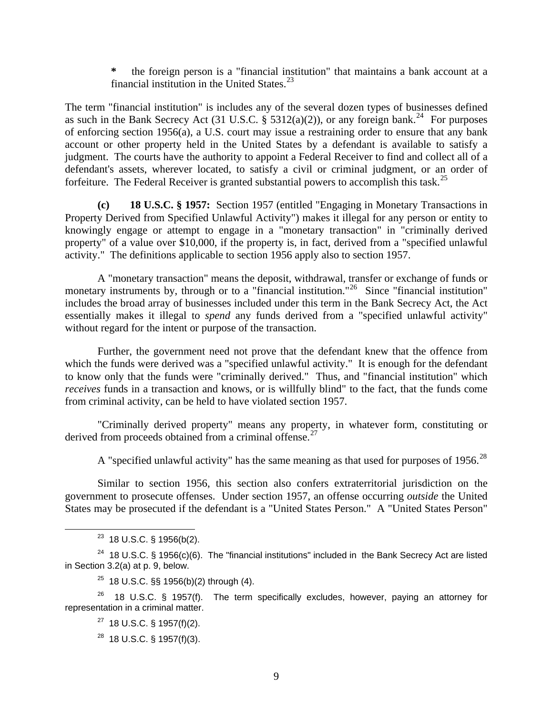**\*** the foreign person is a "financial institution" that maintains a bank account at a financial institution in the United States. $^{23}$  $^{23}$  $^{23}$ 

The term "financial institution" is includes any of the several dozen types of businesses defined as such in the Bank Secrecy Act (31 U.S.C.  $\S$  5312(a)(2)), or any foreign bank.<sup>[24](#page-8-1)</sup> For purposes of enforcing section 1956(a), a U.S. court may issue a restraining order to ensure that any bank account or other property held in the United States by a defendant is available to satisfy a judgment. The courts have the authority to appoint a Federal Receiver to find and collect all of a defendant's assets, wherever located, to satisfy a civil or criminal judgment, or an order of forfeiture. The Federal Receiver is granted substantial powers to accomplish this task.<sup>[25](#page-8-2)</sup>

**(c) 18 U.S.C. § 1957:** Section 1957 (entitled "Engaging in Monetary Transactions in Property Derived from Specified Unlawful Activity") makes it illegal for any person or entity to knowingly engage or attempt to engage in a "monetary transaction" in "criminally derived property" of a value over \$10,000, if the property is, in fact, derived from a "specified unlawful activity." The definitions applicable to section 1956 apply also to section 1957.

A "monetary transaction" means the deposit, withdrawal, transfer or exchange of funds or monetary instruments by, through or to a "financial institution."<sup>[26](#page-8-3)</sup> Since "financial institution" includes the broad array of businesses included under this term in the Bank Secrecy Act, the Act essentially makes it illegal to *spend* any funds derived from a "specified unlawful activity" without regard for the intent or purpose of the transaction.

Further, the government need not prove that the defendant knew that the offence from which the funds were derived was a "specified unlawful activity." It is enough for the defendant to know only that the funds were "criminally derived." Thus, and "financial institution" which *receives* funds in a transaction and knows, or is willfully blind" to the fact, that the funds come from criminal activity, can be held to have violated section 1957.

"Criminally derived property" means any property, in whatever form, constituting or derived from proceeds obtained from a criminal offense.<sup>[27](#page-8-4)</sup>

A "specified unlawful activity" has the same meaning as that used for purposes of 1956.<sup>[28](#page-8-5)</sup>

Similar to section 1956, this section also confers extraterritorial jurisdiction on the government to prosecute offenses. Under section 1957, an offense occurring *outside* the United States may be prosecuted if the defendant is a "United States Person." A "United States Person"

 $25$  18 U.S.C. §§ 1956(b)(2) through (4).

<span id="page-8-5"></span><span id="page-8-4"></span><span id="page-8-3"></span><span id="page-8-2"></span> $26$  18 U.S.C. § 1957(f). The term specifically excludes, however, paying an attorney for representation in a criminal matter.

 $27$  18 U.S.C. § 1957(f)(2).

 $^{28}$  18 U.S.C. § 1957(f)(3).

 $23$  18 U.S.C. § 1956(b(2).

<span id="page-8-1"></span><span id="page-8-0"></span><sup>&</sup>lt;sup>24</sup> 18 U.S.C. § 1956(c)(6). The "financial institutions" included in the Bank Secrecy Act are listed in Section 3.2(a) at p. 9, below.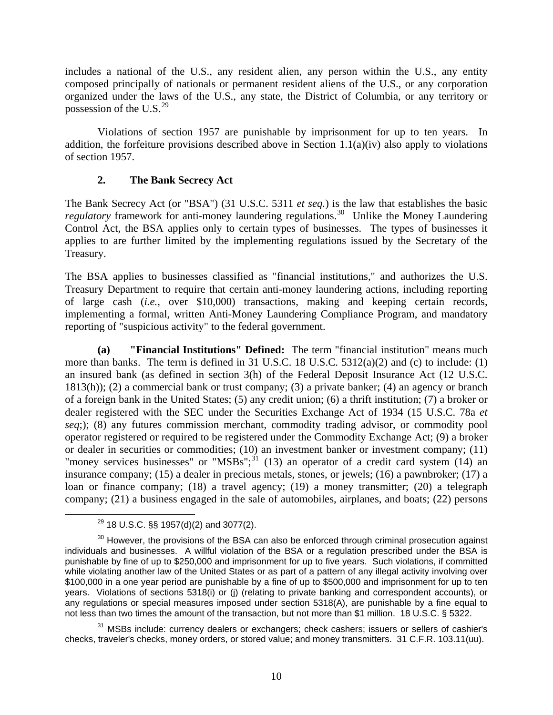includes a national of the U.S., any resident alien, any person within the U.S., any entity composed principally of nationals or permanent resident aliens of the U.S., or any corporation organized under the laws of the U.S., any state, the District of Columbia, or any territory or possession of the U.S. $^{29}$  $^{29}$  $^{29}$ 

Violations of section 1957 are punishable by imprisonment for up to ten years. In addition, the forfeiture provisions described above in Section  $1.1(a)(iv)$  also apply to violations of section 1957.

### **2. The Bank Secrecy Act**

The Bank Secrecy Act (or "BSA") (31 U.S.C. 5311 *et seq.*) is the law that establishes the basic *regulatory* framework for anti-money laundering regulations.<sup>[30](#page-9-1)</sup> Unlike the Money Laundering Control Act, the BSA applies only to certain types of businesses. The types of businesses it applies to are further limited by the implementing regulations issued by the Secretary of the Treasury.

The BSA applies to businesses classified as "financial institutions," and authorizes the U.S. Treasury Department to require that certain anti-money laundering actions, including reporting of large cash (*i.e.,* over \$10,000) transactions, making and keeping certain records, implementing a formal, written Anti-Money Laundering Compliance Program, and mandatory reporting of "suspicious activity" to the federal government.

**(a) "Financial Institutions" Defined:** The term "financial institution" means much more than banks. The term is defined in 31 U.S.C. 18 U.S.C. 5312(a)(2) and (c) to include: (1) an insured bank (as defined in section 3(h) of the Federal Deposit Insurance Act (12 U.S.C. 1813(h)); (2) a commercial bank or trust company; (3) a private banker; (4) an agency or branch of a foreign bank in the United States; (5) any credit union; (6) a thrift institution; (7) a broker or dealer registered with the SEC under the Securities Exchange Act of 1934 (15 U.S.C. 78a *et seq*;); (8) any futures commission merchant, commodity trading advisor, or commodity pool operator registered or required to be registered under the Commodity Exchange Act; (9) a broker or dealer in securities or commodities; (10) an investment banker or investment company; (11) "money services businesses" or "MSBs";<sup>[31](#page-9-2)</sup> (13) an operator of a credit card system (14) an insurance company; (15) a dealer in precious metals, stones, or jewels; (16) a pawnbroker; (17) a loan or finance company; (18) a travel agency; (19) a money transmitter; (20) a telegraph company; (21) a business engaged in the sale of automobiles, airplanes, and boats; (22) persons

 $29$  18 U.S.C. §§ 1957(d)(2) and 3077(2).

<span id="page-9-1"></span><span id="page-9-0"></span> $30$  However, the provisions of the BSA can also be enforced through criminal prosecution against individuals and businesses. A willful violation of the BSA or a regulation prescribed under the BSA is punishable by fine of up to \$250,000 and imprisonment for up to five years. Such violations, if committed while violating another law of the United States or as part of a pattern of any illegal activity involving over \$100,000 in a one year period are punishable by a fine of up to \$500,000 and imprisonment for up to ten years. Violations of sections 5318(i) or (j) (relating to private banking and correspondent accounts), or any regulations or special measures imposed under section 5318(A), are punishable by a fine equal to not less than two times the amount of the transaction, but not more than \$1 million. 18 U.S.C. § 5322.

<span id="page-9-2"></span><sup>&</sup>lt;sup>31</sup> MSBs include: currency dealers or exchangers; check cashers; issuers or sellers of cashier's checks, traveler's checks, money orders, or stored value; and money transmitters. 31 C.F.R. 103.11(uu).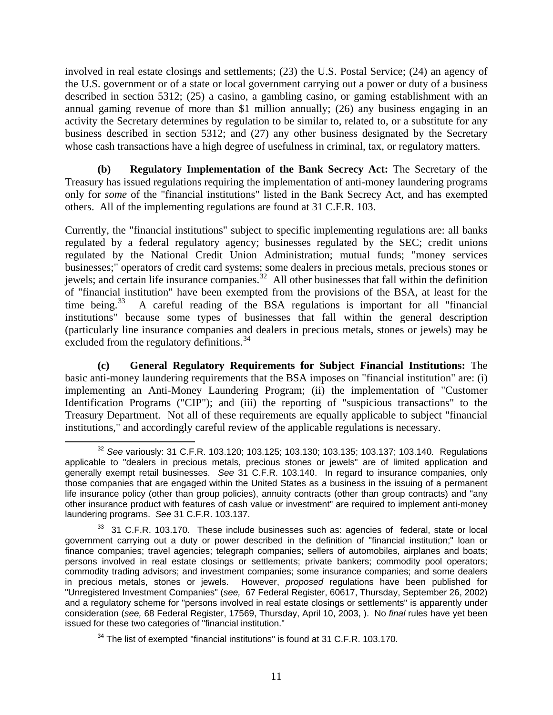involved in real estate closings and settlements; (23) the U.S. Postal Service; (24) an agency of the U.S. government or of a state or local government carrying out a power or duty of a business described in section 5312; (25) a casino, a gambling casino, or gaming establishment with an annual gaming revenue of more than \$1 million annually; (26) any business engaging in an activity the Secretary determines by regulation to be similar to, related to, or a substitute for any business described in section 5312; and (27) any other business designated by the Secretary whose cash transactions have a high degree of usefulness in criminal, tax, or regulatory matters*.* 

**(b) Regulatory Implementation of the Bank Secrecy Act:** The Secretary of the Treasury has issued regulations requiring the implementation of anti-money laundering programs only for *some* of the "financial institutions" listed in the Bank Secrecy Act, and has exempted others. All of the implementing regulations are found at 31 C.F.R. 103.

Currently, the "financial institutions" subject to specific implementing regulations are: all banks regulated by a federal regulatory agency; businesses regulated by the SEC; credit unions regulated by the National Credit Union Administration; mutual funds; "money services businesses;" operators of credit card systems; some dealers in precious metals, precious stones or jewels; and certain life insurance companies.<sup>[32](#page-10-0)</sup> All other businesses that fall within the definition of "financial institution" have been exempted from the provisions of the BSA, at least for the time being.<sup>[33](#page-10-1)</sup> A careful reading of the BSA regulations is important for all "financial" institutions" because some types of businesses that fall within the general description (particularly line insurance companies and dealers in precious metals, stones or jewels) may be excluded from the regulatory definitions.<sup>[34](#page-10-2)</sup>

**(c) General Regulatory Requirements for Subject Financial Institutions:** The basic anti-money laundering requirements that the BSA imposes on "financial institution" are: (i) implementing an Anti-Money Laundering Program; (ii) the implementation of "Customer Identification Programs ("CIP"); and (iii) the reporting of "suspicious transactions" to the Treasury Department. Not all of these requirements are equally applicable to subject "financial institutions," and accordingly careful review of the applicable regulations is necessary.

<span id="page-10-0"></span><sup>32</sup> *See* variously: 31 C.F.R. 103.120; 103.125; 103.130; 103.135; 103.137; 103.140*.* Regulations applicable to "dealers in precious metals, precious stones or jewels" are of limited application and generally exempt retail businesses. *See* 31 C.F.R. 103.140. In regard to insurance companies, only those companies that are engaged within the United States as a business in the issuing of a permanent life insurance policy (other than group policies), annuity contracts (other than group contracts) and "any other insurance product with features of cash value or investment" are required to implement anti-money laundering programs. *See* 31 C.F.R. 103.137.

<span id="page-10-1"></span><sup>&</sup>lt;sup>33</sup> 31 C.F.R. 103.170. These include businesses such as: agencies of federal, state or local government carrying out a duty or power described in the definition of "financial institution;" loan or finance companies; travel agencies; telegraph companies; sellers of automobiles, airplanes and boats; persons involved in real estate closings or settlements; private bankers; commodity pool operators; commodity trading advisors; and investment companies; some insurance companies; and some dealers in precious metals, stones or jewels. However, *proposed* regulations have been published for "Unregistered Investment Companies" (*see,* 67 Federal Register, 60617, Thursday, September 26, 2002) and a regulatory scheme for "persons involved in real estate closings or settlements" is apparently under consideration (*see,* 68 Federal Register, 17569, Thursday, April 10, 2003, ). No *final* rules have yet been issued for these two categories of "financial institution."

<span id="page-10-2"></span> $34$  The list of exempted "financial institutions" is found at 31 C.F.R. 103.170.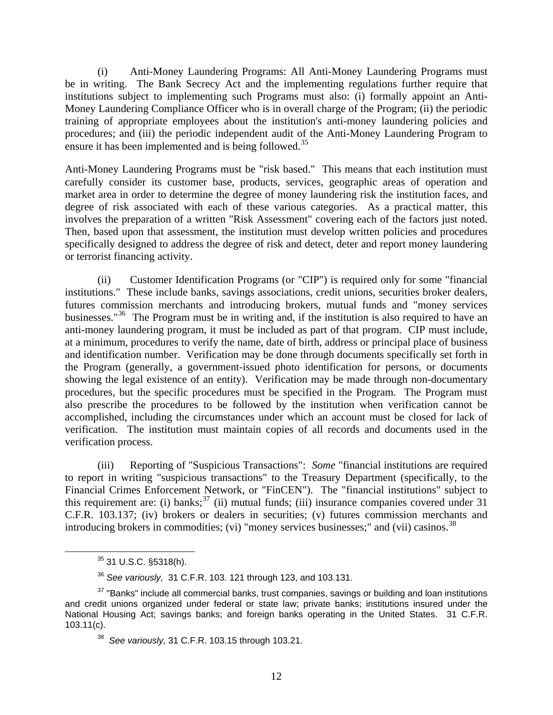(i) Anti-Money Laundering Programs: All Anti-Money Laundering Programs must be in writing. The Bank Secrecy Act and the implementing regulations further require that institutions subject to implementing such Programs must also: (i) formally appoint an Anti-Money Laundering Compliance Officer who is in overall charge of the Program; (ii) the periodic training of appropriate employees about the institution's anti-money laundering policies and procedures; and (iii) the periodic independent audit of the Anti-Money Laundering Program to ensure it has been implemented and is being followed.<sup>[35](#page-11-0)</sup>

Anti-Money Laundering Programs must be "risk based." This means that each institution must carefully consider its customer base, products, services, geographic areas of operation and market area in order to determine the degree of money laundering risk the institution faces, and degree of risk associated with each of these various categories. As a practical matter, this involves the preparation of a written "Risk Assessment" covering each of the factors just noted. Then, based upon that assessment, the institution must develop written policies and procedures specifically designed to address the degree of risk and detect, deter and report money laundering or terrorist financing activity.

(ii) Customer Identification Programs (or "CIP") is required only for some "financial institutions." These include banks, savings associations, credit unions, securities broker dealers, futures commission merchants and introducing brokers, mutual funds and "money services businesses."<sup>[36](#page-11-1)</sup> The Program must be in writing and, if the institution is also required to have an anti-money laundering program, it must be included as part of that program. CIP must include, at a minimum, procedures to verify the name, date of birth, address or principal place of business and identification number. Verification may be done through documents specifically set forth in the Program (generally, a government-issued photo identification for persons, or documents showing the legal existence of an entity). Verification may be made through non-documentary procedures, but the specific procedures must be specified in the Program. The Program must also prescribe the procedures to be followed by the institution when verification cannot be accomplished, including the circumstances under which an account must be closed for lack of verification. The institution must maintain copies of all records and documents used in the verification process.

 (iii) Reporting of "Suspicious Transactions": *Some* "financial institutions are required to report in writing "suspicious transactions" to the Treasury Department (specifically, to the Financial Crimes Enforcement Network, or "FinCEN"). The "financial institutions" subject to this requirement are: (i) banks;  $37$  (ii) mutual funds; (iii) insurance companies covered under 31 C.F.R. 103.137; (iv) brokers or dealers in securities; (v) futures commission merchants and introducing brokers in commodities; (vi) "money services businesses;" and (vii) casinos.<sup>[38](#page-11-3)</sup>

35 31 U.S.C. §5318(h).

<sup>36</sup> *See variously,* 31 C.F.R. 103. 121 through 123, and 103.131.

<span id="page-11-3"></span><span id="page-11-2"></span><span id="page-11-1"></span><span id="page-11-0"></span> $37$  "Banks" include all commercial banks, trust companies, savings or building and loan institutions and credit unions organized under federal or state law; private banks; institutions insured under the National Housing Act; savings banks; and foreign banks operating in the United States. 31 C.F.R. 103.11(c).

<sup>38</sup> *See variously,* 31 C.F.R. 103.15 through 103.21.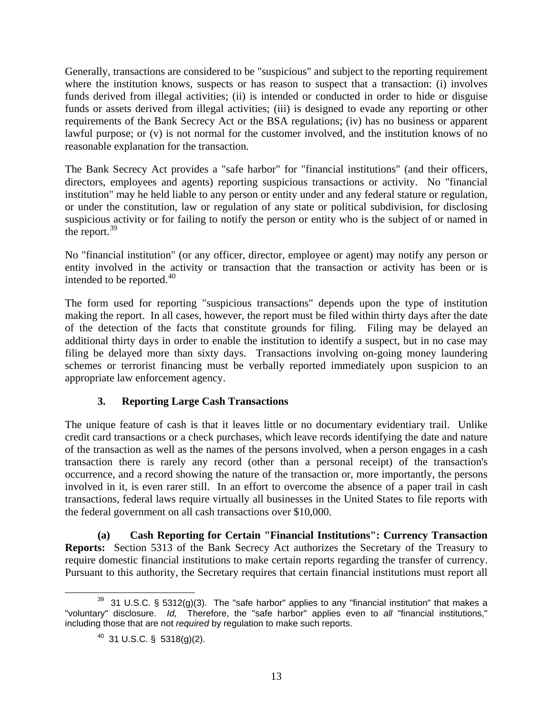Generally, transactions are considered to be "suspicious" and subject to the reporting requirement where the institution knows, suspects or has reason to suspect that a transaction: (i) involves funds derived from illegal activities; (ii) is intended or conducted in order to hide or disguise funds or assets derived from illegal activities; (iii) is designed to evade any reporting or other requirements of the Bank Secrecy Act or the BSA regulations; (iv) has no business or apparent lawful purpose; or (v) is not normal for the customer involved, and the institution knows of no reasonable explanation for the transaction.

The Bank Secrecy Act provides a "safe harbor" for "financial institutions" (and their officers, directors, employees and agents) reporting suspicious transactions or activity. No "financial institution" may he held liable to any person or entity under and any federal stature or regulation, or under the constitution, law or regulation of any state or political subdivision, for disclosing suspicious activity or for failing to notify the person or entity who is the subject of or named in the report.<sup>[39](#page-12-0)</sup>

No "financial institution" (or any officer, director, employee or agent) may notify any person or entity involved in the activity or transaction that the transaction or activity has been or is intended to be reported.<sup>[40](#page-12-1)</sup>

The form used for reporting "suspicious transactions" depends upon the type of institution making the report. In all cases, however, the report must be filed within thirty days after the date of the detection of the facts that constitute grounds for filing. Filing may be delayed an additional thirty days in order to enable the institution to identify a suspect, but in no case may filing be delayed more than sixty days. Transactions involving on-going money laundering schemes or terrorist financing must be verbally reported immediately upon suspicion to an appropriate law enforcement agency.

# **3. Reporting Large Cash Transactions**

The unique feature of cash is that it leaves little or no documentary evidentiary trail. Unlike credit card transactions or a check purchases, which leave records identifying the date and nature of the transaction as well as the names of the persons involved, when a person engages in a cash transaction there is rarely any record (other than a personal receipt) of the transaction's occurrence, and a record showing the nature of the transaction or, more importantly, the persons involved in it, is even rarer still. In an effort to overcome the absence of a paper trail in cash transactions, federal laws require virtually all businesses in the United States to file reports with the federal government on all cash transactions over \$10,000.

**(a) Cash Reporting for Certain "Financial Institutions": Currency Transaction Reports:** Section 5313 of the Bank Secrecy Act authorizes the Secretary of the Treasury to require domestic financial institutions to make certain reports regarding the transfer of currency. Pursuant to this authority, the Secretary requires that certain financial institutions must report all

<span id="page-12-1"></span><span id="page-12-0"></span> $39$  31 U.S.C. § 5312(g)(3). The "safe harbor" applies to any "financial institution" that makes a "voluntary" disclosure. *Id,* Therefore, the "safe harbor" applies even to *all* "financial institutions," including those that are not *required* by regulation to make such reports.

 $40$  31 U.S.C. § 5318(g)(2).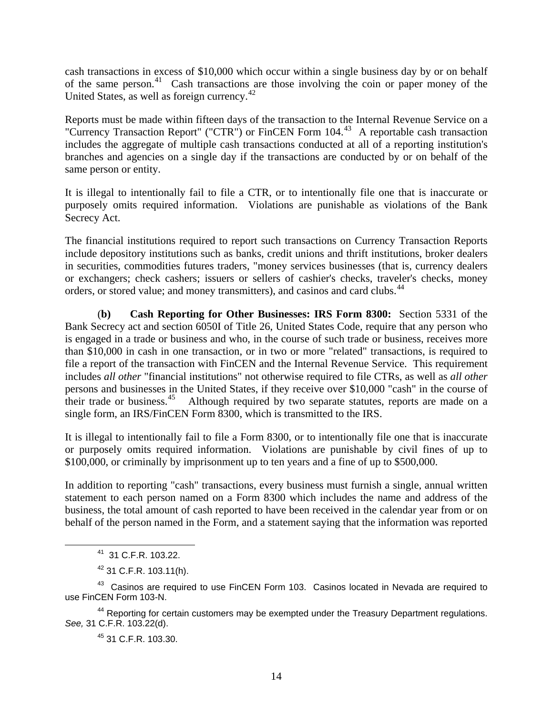cash transactions in excess of \$10,000 which occur within a single business day by or on behalf of the same person.[41](#page-13-0) Cash transactions are those involving the coin or paper money of the United States, as well as foreign currency.<sup>[42](#page-13-1)</sup>

Reports must be made within fifteen days of the transaction to the Internal Revenue Service on a "Currency Transaction Report" ("CTR") or FinCEN Form 104.[43](#page-13-2) A reportable cash transaction includes the aggregate of multiple cash transactions conducted at all of a reporting institution's branches and agencies on a single day if the transactions are conducted by or on behalf of the same person or entity.

It is illegal to intentionally fail to file a CTR, or to intentionally file one that is inaccurate or purposely omits required information. Violations are punishable as violations of the Bank Secrecy Act.

The financial institutions required to report such transactions on Currency Transaction Reports include depository institutions such as banks, credit unions and thrift institutions, broker dealers in securities, commodities futures traders, "money services businesses (that is, currency dealers or exchangers; check cashers; issuers or sellers of cashier's checks, traveler's checks, money orders, or stored value; and money transmitters), and casinos and card clubs.<sup>[44](#page-13-3)</sup>

 (**b) Cash Reporting for Other Businesses: IRS Form 8300:** Section 5331 of the Bank Secrecy act and section 6050I of Title 26, United States Code, require that any person who is engaged in a trade or business and who, in the course of such trade or business, receives more than \$10,000 in cash in one transaction, or in two or more "related" transactions, is required to file a report of the transaction with FinCEN and the Internal Revenue Service. This requirement includes *all other* "financial institutions" not otherwise required to file CTRs, as well as *all other*  persons and businesses in the United States, if they receive over \$10,000 "cash" in the course of their trade or business.<sup>[45](#page-13-4)</sup> Although required by two separate statutes, reports are made on a single form, an IRS/FinCEN Form 8300, which is transmitted to the IRS.

It is illegal to intentionally fail to file a Form 8300, or to intentionally file one that is inaccurate or purposely omits required information. Violations are punishable by civil fines of up to \$100,000, or criminally by imprisonment up to ten years and a fine of up to \$500,000.

In addition to reporting "cash" transactions, every business must furnish a single, annual written statement to each person named on a Form 8300 which includes the name and address of the business, the total amount of cash reported to have been received in the calendar year from or on behalf of the person named in the Form, and a statement saying that the information was reported

<span id="page-13-4"></span><span id="page-13-3"></span><sup>44</sup> Reporting for certain customers may be exempted under the Treasury Department regulations. *See,* 31 C.F.R. 103.22(d).

45 31 C.F.R. 103.30.

41 31 C.F.R. 103.22.

 $42$  31 C.F.R. 103.11(h).

<span id="page-13-2"></span><span id="page-13-1"></span><span id="page-13-0"></span><sup>&</sup>lt;sup>43</sup> Casinos are required to use FinCEN Form 103. Casinos located in Nevada are required to use FinCEN Form 103-N.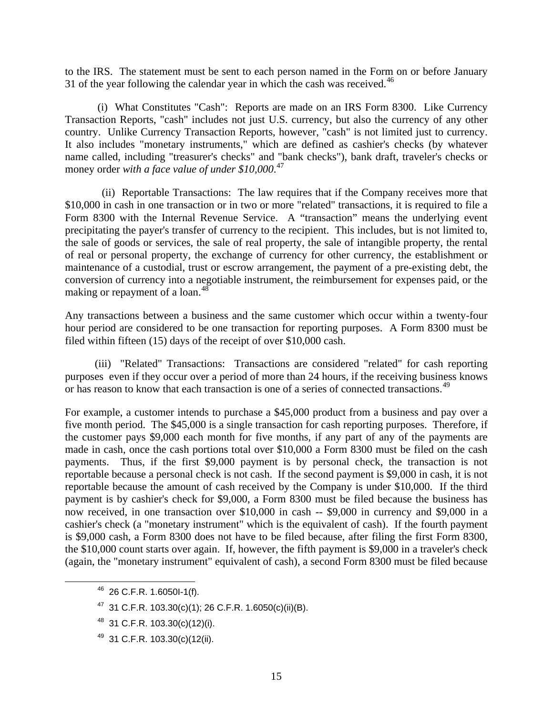to the IRS. The statement must be sent to each person named in the Form on or before January 31 of the year following the calendar year in which the cash was received.<sup>[46](#page-14-0)</sup>

 (i) What Constitutes "Cash": Reports are made on an IRS Form 8300. Like Currency Transaction Reports, "cash" includes not just U.S. currency, but also the currency of any other country. Unlike Currency Transaction Reports, however, "cash" is not limited just to currency. It also includes "monetary instruments," which are defined as cashier's checks (by whatever name called, including "treasurer's checks" and "bank checks"), bank draft, traveler's checks or money order *with a face value of under \$10,000*. [47](#page-14-1)

 (ii) Reportable Transactions: The law requires that if the Company receives more that \$10,000 in cash in one transaction or in two or more "related" transactions, it is required to file a Form 8300 with the Internal Revenue Service. A "transaction" means the underlying event precipitating the payer's transfer of currency to the recipient. This includes, but is not limited to, the sale of goods or services, the sale of real property, the sale of intangible property, the rental of real or personal property, the exchange of currency for other currency, the establishment or maintenance of a custodial, trust or escrow arrangement, the payment of a pre-existing debt, the conversion of currency into a negotiable instrument, the reimbursement for expenses paid, or the making or repayment of a loan.<sup>[48](#page-14-2)</sup>

Any transactions between a business and the same customer which occur within a twenty-four hour period are considered to be one transaction for reporting purposes. A Form 8300 must be filed within fifteen (15) days of the receipt of over \$10,000 cash.

 (iii) "Related" Transactions: Transactions are considered "related" for cash reporting purposes even if they occur over a period of more than 24 hours, if the receiving business knows or has reason to know that each transaction is one of a series of connected transactions.<sup>[49](#page-14-3)</sup>

For example, a customer intends to purchase a \$45,000 product from a business and pay over a five month period. The \$45,000 is a single transaction for cash reporting purposes. Therefore, if the customer pays \$9,000 each month for five months, if any part of any of the payments are made in cash, once the cash portions total over \$10,000 a Form 8300 must be filed on the cash payments. Thus, if the first \$9,000 payment is by personal check, the transaction is not reportable because a personal check is not cash. If the second payment is \$9,000 in cash, it is not reportable because the amount of cash received by the Company is under \$10,000. If the third payment is by cashier's check for \$9,000, a Form 8300 must be filed because the business has now received, in one transaction over \$10,000 in cash -- \$9,000 in currency and \$9,000 in a cashier's check (a "monetary instrument" which is the equivalent of cash). If the fourth payment is \$9,000 cash, a Form 8300 does not have to be filed because, after filing the first Form 8300, the \$10,000 count starts over again. If, however, the fifth payment is \$9,000 in a traveler's check (again, the "monetary instrument" equivalent of cash), a second Form 8300 must be filed because

<span id="page-14-0"></span>46 26 C.F.R. 1.6050I-1(f).

<span id="page-14-1"></span> $47$  31 C.F.R. 103.30(c)(1); 26 C.F.R. 1.6050(c)(ii)(B).

<span id="page-14-2"></span><sup>48 31</sup> C.F.R. 103.30(c)(12)(i).

<span id="page-14-3"></span><sup>49 31</sup> C.F.R. 103.30(c)(12(ii).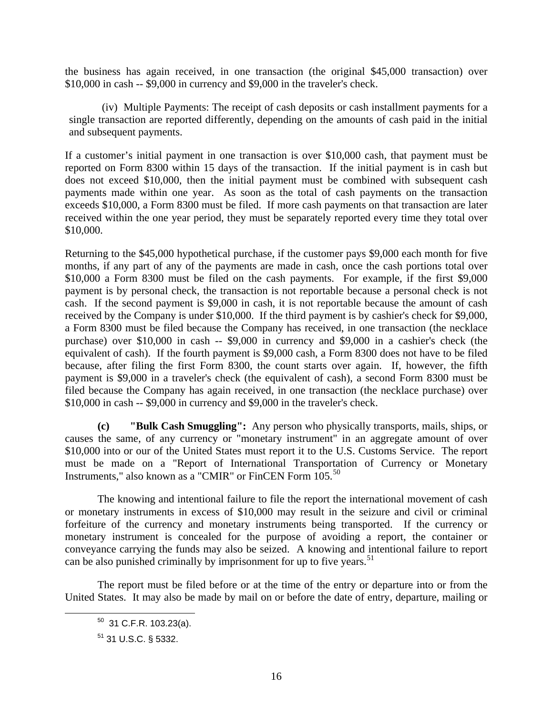the business has again received, in one transaction (the original \$45,000 transaction) over \$10,000 in cash -- \$9,000 in currency and \$9,000 in the traveler's check.

 (iv) Multiple Payments: The receipt of cash deposits or cash installment payments for a single transaction are reported differently, depending on the amounts of cash paid in the initial and subsequent payments.

If a customer's initial payment in one transaction is over \$10,000 cash, that payment must be reported on Form 8300 within 15 days of the transaction. If the initial payment is in cash but does not exceed \$10,000, then the initial payment must be combined with subsequent cash payments made within one year. As soon as the total of cash payments on the transaction exceeds \$10,000, a Form 8300 must be filed. If more cash payments on that transaction are later received within the one year period, they must be separately reported every time they total over \$10,000.

Returning to the \$45,000 hypothetical purchase, if the customer pays \$9,000 each month for five months, if any part of any of the payments are made in cash, once the cash portions total over \$10,000 a Form 8300 must be filed on the cash payments. For example, if the first \$9,000 payment is by personal check, the transaction is not reportable because a personal check is not cash. If the second payment is \$9,000 in cash, it is not reportable because the amount of cash received by the Company is under \$10,000. If the third payment is by cashier's check for \$9,000, a Form 8300 must be filed because the Company has received, in one transaction (the necklace purchase) over \$10,000 in cash -- \$9,000 in currency and \$9,000 in a cashier's check (the equivalent of cash). If the fourth payment is \$9,000 cash, a Form 8300 does not have to be filed because, after filing the first Form 8300, the count starts over again. If, however, the fifth payment is \$9,000 in a traveler's check (the equivalent of cash), a second Form 8300 must be filed because the Company has again received, in one transaction (the necklace purchase) over \$10,000 in cash -- \$9,000 in currency and \$9,000 in the traveler's check.

**(c) "Bulk Cash Smuggling":** Any person who physically transports, mails, ships, or causes the same, of any currency or "monetary instrument" in an aggregate amount of over \$10,000 into or our of the United States must report it to the U.S. Customs Service. The report must be made on a "Report of International Transportation of Currency or Monetary Instruments," also known as a "CMIR" or FinCEN Form 105.<sup>[50](#page-15-0)</sup>

The knowing and intentional failure to file the report the international movement of cash or monetary instruments in excess of \$10,000 may result in the seizure and civil or criminal forfeiture of the currency and monetary instruments being transported. If the currency or monetary instrument is concealed for the purpose of avoiding a report, the container or conveyance carrying the funds may also be seized. A knowing and intentional failure to report can be also punished criminally by imprisonment for up to five years.<sup>[51](#page-15-1)</sup>

<span id="page-15-1"></span><span id="page-15-0"></span>The report must be filed before or at the time of the entry or departure into or from the United States. It may also be made by mail on or before the date of entry, departure, mailing or

 $50$  31 C.F.R. 103.23(a).

<sup>51 31</sup> U.S.C. § 5332.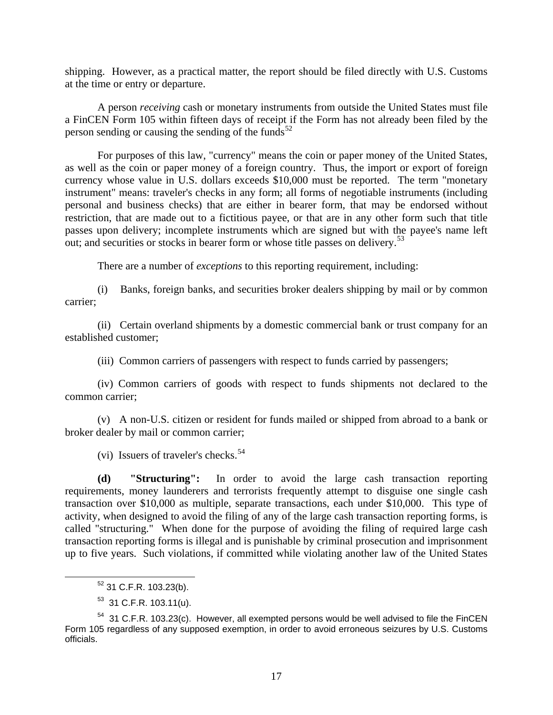shipping. However, as a practical matter, the report should be filed directly with U.S. Customs at the time or entry or departure.

A person *receiving* cash or monetary instruments from outside the United States must file a FinCEN Form 105 within fifteen days of receipt if the Form has not already been filed by the person sending or causing the sending of the funds $52$ 

For purposes of this law, "currency" means the coin or paper money of the United States, as well as the coin or paper money of a foreign country. Thus, the import or export of foreign currency whose value in U.S. dollars exceeds \$10,000 must be reported. The term "monetary instrument" means: traveler's checks in any form; all forms of negotiable instruments (including personal and business checks) that are either in bearer form, that may be endorsed without restriction, that are made out to a fictitious payee, or that are in any other form such that title passes upon delivery; incomplete instruments which are signed but with the payee's name left out; and securities or stocks in bearer form or whose title passes on delivery.<sup>[53](#page-16-1)</sup>

There are a number of *exceptions* to this reporting requirement, including:

(i) Banks, foreign banks, and securities broker dealers shipping by mail or by common carrier;

(ii) Certain overland shipments by a domestic commercial bank or trust company for an established customer;

(iii) Common carriers of passengers with respect to funds carried by passengers;

(iv) Common carriers of goods with respect to funds shipments not declared to the common carrier;

(v) A non-U.S. citizen or resident for funds mailed or shipped from abroad to a bank or broker dealer by mail or common carrier;

(vi) Issuers of traveler's checks.  $54$ 

**(d) "Structuring":** In order to avoid the large cash transaction reporting requirements, money launderers and terrorists frequently attempt to disguise one single cash transaction over \$10,000 as multiple, separate transactions, each under \$10,000. This type of activity, when designed to avoid the filing of any of the large cash transaction reporting forms, is called "structuring*.*"When done for the purpose of avoiding the filing of required large cash transaction reporting forms is illegal and is punishable by criminal prosecution and imprisonment up to five years. Such violations, if committed while violating another law of the United States

52 31 C.F.R. 103.23(b).

 $53$  31 C.F.R. 103.11(u).

<span id="page-16-2"></span><span id="page-16-1"></span><span id="page-16-0"></span> $54$  31 C.F.R. 103.23(c). However, all exempted persons would be well advised to file the FinCEN Form 105 regardless of any supposed exemption, in order to avoid erroneous seizures by U.S. Customs officials.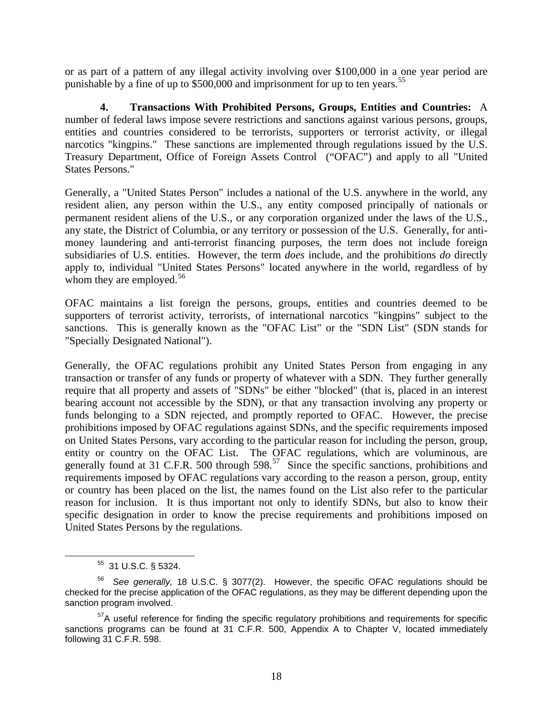or as part of a pattern of any illegal activity involving over \$100,000 in a one year period are punishable by a fine of up to \$500,000 and imprisonment for up to ten years.<sup>[55](#page-17-0)</sup>

 **4. Transactions With Prohibited Persons, Groups, Entities and Countries:** A number of federal laws impose severe restrictions and sanctions against various persons, groups, entities and countries considered to be terrorists, supporters or terrorist activity, or illegal narcotics "kingpins." These sanctions are implemented through regulations issued by the U.S. Treasury Department, Office of Foreign Assets Control ("OFAC") and apply to all "United States Persons."

Generally, a "United States Person" includes a national of the U.S. anywhere in the world, any resident alien, any person within the U.S., any entity composed principally of nationals or permanent resident aliens of the U.S., or any corporation organized under the laws of the U.S., any state, the District of Columbia, or any territory or possession of the U.S. Generally, for antimoney laundering and anti-terrorist financing purposes, the term does not include foreign subsidiaries of U.S. entities. However, the term *does* include, and the prohibitions *do* directly apply to, individual "United States Persons" located anywhere in the world, regardless of by whom they are employed.<sup>[56](#page-17-1)</sup>

OFAC maintains a list foreign the persons, groups, entities and countries deemed to be supporters of terrorist activity, terrorists, of international narcotics "kingpins" subject to the sanctions. This is generally known as the "OFAC List" or the "SDN List" (SDN stands for "Specially Designated National").

Generally, the OFAC regulations prohibit any United States Person from engaging in any transaction or transfer of any funds or property of whatever with a SDN. They further generally require that all property and assets of "SDNs" be either "blocked" (that is, placed in an interest bearing account not accessible by the SDN), or that any transaction involving any property or funds belonging to a SDN rejected, and promptly reported to OFAC. However, the precise prohibitions imposed by OFAC regulations against SDNs, and the specific requirements imposed on United States Persons, vary according to the particular reason for including the person, group, entity or country on the OFAC List. The OFAC regulations, which are voluminous, are generally found at 31 C.F.R. 500 through  $598<sup>57</sup>$  $598<sup>57</sup>$  $598<sup>57</sup>$  Since the specific sanctions, prohibitions and requirements imposed by OFAC regulations vary according to the reason a person, group, entity or country has been placed on the list, the names found on the List also refer to the particular reason for inclusion. It is thus important not only to identify SDNs, but also to know their specific designation in order to know the precise requirements and prohibitions imposed on United States Persons by the regulations.

55 31 U.S.C. § 5324.

<span id="page-17-1"></span><span id="page-17-0"></span><sup>56</sup> *See generally,* 18 U.S.C. § 3077(2). However, the specific OFAC regulations should be checked for the precise application of the OFAC regulations, as they may be different depending upon the sanction program involved.

<span id="page-17-2"></span><sup>&</sup>lt;sup>57</sup>A useful reference for finding the specific regulatory prohibitions and reguirements for specific sanctions programs can be found at 31 C.F.R. 500, Appendix A to Chapter V, located immediately following 31 C.F.R. 598.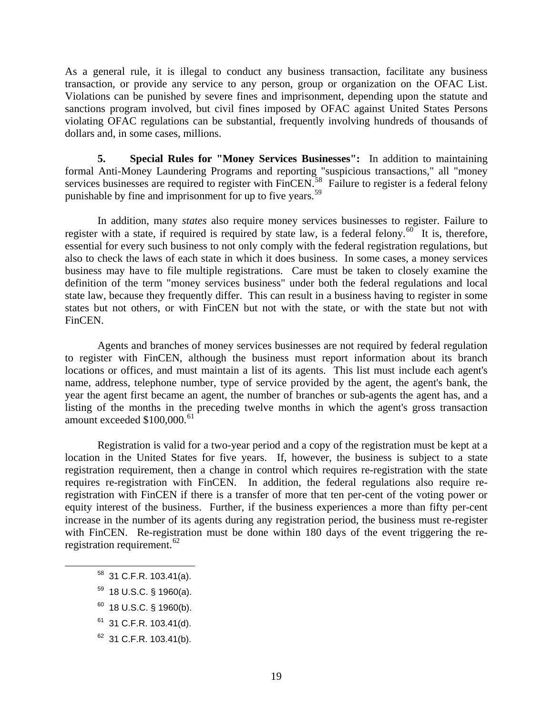As a general rule, it is illegal to conduct any business transaction, facilitate any business transaction, or provide any service to any person, group or organization on the OFAC List. Violations can be punished by severe fines and imprisonment, depending upon the statute and sanctions program involved, but civil fines imposed by OFAC against United States Persons violating OFAC regulations can be substantial, frequently involving hundreds of thousands of dollars and, in some cases, millions.

**5. Special Rules for "Money Services Businesses":** In addition to maintaining formal Anti-Money Laundering Programs and reporting "suspicious transactions," all "money services businesses are required to register with  $\text{FinCEN}^{\text{58}}$  $\text{FinCEN}^{\text{58}}$  $\text{FinCEN}^{\text{58}}$  Failure to register is a federal felony punishable by fine and imprisonment for up to five years.<sup>[59](#page-18-1)</sup>

In addition, many *states* also require money services businesses to register. Failure to register with a state, if required is required by state law, is a federal felony.<sup>[60](#page-18-2)</sup> It is, therefore, essential for every such business to not only comply with the federal registration regulations, but also to check the laws of each state in which it does business. In some cases, a money services business may have to file multiple registrations. Care must be taken to closely examine the definition of the term "money services business" under both the federal regulations and local state law, because they frequently differ. This can result in a business having to register in some states but not others, or with FinCEN but not with the state, or with the state but not with FinCEN.

Agents and branches of money services businesses are not required by federal regulation to register with FinCEN, although the business must report information about its branch locations or offices, and must maintain a list of its agents. This list must include each agent's name, address, telephone number, type of service provided by the agent, the agent's bank, the year the agent first became an agent, the number of branches or sub-agents the agent has, and a listing of the months in the preceding twelve months in which the agent's gross transaction amount exceeded \$100,000.<sup>[61](#page-18-3)</sup>

Registration is valid for a two-year period and a copy of the registration must be kept at a location in the United States for five years. If, however, the business is subject to a state registration requirement, then a change in control which requires re-registration with the state requires re-registration with FinCEN. In addition, the federal regulations also require reregistration with FinCEN if there is a transfer of more that ten per-cent of the voting power or equity interest of the business. Further, if the business experiences a more than fifty per-cent increase in the number of its agents during any registration period, the business must re-register with FinCEN. Re-registration must be done within 180 days of the event triggering the re-registration requirement.<sup>[62](#page-18-4)</sup>

- <span id="page-18-0"></span> $58$  31 C.F.R. 103.41(a).
- <span id="page-18-1"></span> $59$  18 U.S.C. § 1960(a).
- <span id="page-18-2"></span> $60$  18 U.S.C. § 1960(b).
- <span id="page-18-3"></span> $61$  31 C.F.R. 103.41(d).
- <span id="page-18-4"></span> $62$  31 C.F.R. 103.41(b).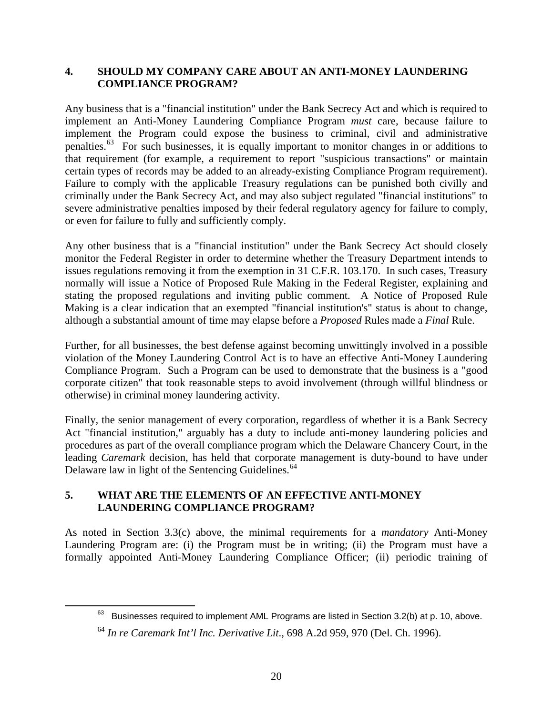#### **4. SHOULD MY COMPANY CARE ABOUT AN ANTI-MONEY LAUNDERING COMPLIANCE PROGRAM?**

Any business that is a "financial institution" under the Bank Secrecy Act and which is required to implement an Anti-Money Laundering Compliance Program *must* care, because failure to implement the Program could expose the business to criminal, civil and administrative penalties.[63](#page-19-0) For such businesses, it is equally important to monitor changes in or additions to that requirement (for example, a requirement to report "suspicious transactions" or maintain certain types of records may be added to an already-existing Compliance Program requirement). Failure to comply with the applicable Treasury regulations can be punished both civilly and criminally under the Bank Secrecy Act, and may also subject regulated "financial institutions" to severe administrative penalties imposed by their federal regulatory agency for failure to comply, or even for failure to fully and sufficiently comply.

Any other business that is a "financial institution" under the Bank Secrecy Act should closely monitor the Federal Register in order to determine whether the Treasury Department intends to issues regulations removing it from the exemption in 31 C.F.R. 103.170. In such cases, Treasury normally will issue a Notice of Proposed Rule Making in the Federal Register, explaining and stating the proposed regulations and inviting public comment. A Notice of Proposed Rule Making is a clear indication that an exempted "financial institution's" status is about to change, although a substantial amount of time may elapse before a *Proposed* Rules made a *Final* Rule.

Further, for all businesses, the best defense against becoming unwittingly involved in a possible violation of the Money Laundering Control Act is to have an effective Anti-Money Laundering Compliance Program. Such a Program can be used to demonstrate that the business is a "good corporate citizen" that took reasonable steps to avoid involvement (through willful blindness or otherwise) in criminal money laundering activity.

Finally, the senior management of every corporation, regardless of whether it is a Bank Secrecy Act "financial institution," arguably has a duty to include anti-money laundering policies and procedures as part of the overall compliance program which the Delaware Chancery Court, in the leading *Caremark* decision, has held that corporate management is duty-bound to have under Delaware law in light of the Sentencing Guidelines.<sup>[64](#page-19-1)</sup>

### **5. WHAT ARE THE ELEMENTS OF AN EFFECTIVE ANTI-MONEY LAUNDERING COMPLIANCE PROGRAM?**

<span id="page-19-1"></span><span id="page-19-0"></span>1

As noted in Section 3.3(c) above, the minimal requirements for a *mandatory* Anti-Money Laundering Program are: (i) the Program must be in writing; (ii) the Program must have a formally appointed Anti-Money Laundering Compliance Officer; (ii) periodic training of

 $63$  Businesses required to implement AML Programs are listed in Section 3.2(b) at p. 10, above.

<sup>64</sup> *In re Caremark Int'l Inc. Derivative Lit*., 698 A.2d 959, 970 (Del. Ch. 1996).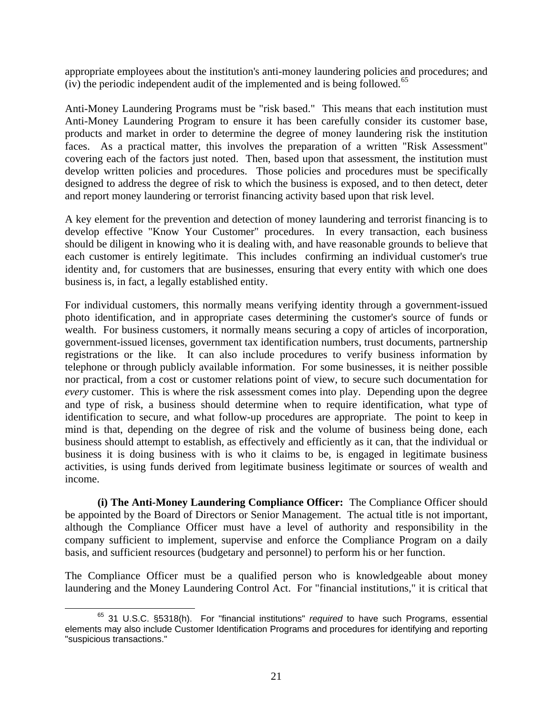appropriate employees about the institution's anti-money laundering policies and procedures; and (iv) the periodic independent audit of the implemented and is being followed.<sup>[65](#page-20-0)</sup>

Anti-Money Laundering Programs must be "risk based." This means that each institution must Anti-Money Laundering Program to ensure it has been carefully consider its customer base, products and market in order to determine the degree of money laundering risk the institution faces. As a practical matter, this involves the preparation of a written "Risk Assessment" covering each of the factors just noted. Then, based upon that assessment, the institution must develop written policies and procedures. Those policies and procedures must be specifically designed to address the degree of risk to which the business is exposed, and to then detect, deter and report money laundering or terrorist financing activity based upon that risk level.

A key element for the prevention and detection of money laundering and terrorist financing is to develop effective "Know Your Customer" procedures. In every transaction, each business should be diligent in knowing who it is dealing with, and have reasonable grounds to believe that each customer is entirely legitimate. This includes confirming an individual customer's true identity and, for customers that are businesses, ensuring that every entity with which one does business is, in fact, a legally established entity.

For individual customers, this normally means verifying identity through a government-issued photo identification, and in appropriate cases determining the customer's source of funds or wealth. For business customers, it normally means securing a copy of articles of incorporation, government-issued licenses, government tax identification numbers, trust documents, partnership registrations or the like. It can also include procedures to verify business information by telephone or through publicly available information. For some businesses, it is neither possible nor practical, from a cost or customer relations point of view, to secure such documentation for *every* customer. This is where the risk assessment comes into play. Depending upon the degree and type of risk, a business should determine when to require identification, what type of identification to secure, and what follow-up procedures are appropriate. The point to keep in mind is that, depending on the degree of risk and the volume of business being done, each business should attempt to establish, as effectively and efficiently as it can, that the individual or business it is doing business with is who it claims to be, is engaged in legitimate business activities, is using funds derived from legitimate business legitimate or sources of wealth and income.

**(i) The Anti-Money Laundering Compliance Officer:** The Compliance Officer should be appointed by the Board of Directors or Senior Management. The actual title is not important, although the Compliance Officer must have a level of authority and responsibility in the company sufficient to implement, supervise and enforce the Compliance Program on a daily basis, and sufficient resources (budgetary and personnel) to perform his or her function.

The Compliance Officer must be a qualified person who is knowledgeable about money laundering and the Money Laundering Control Act. For "financial institutions," it is critical that

<span id="page-20-0"></span>65 31 U.S.C. §5318(h). For "financial institutions" *required* to have such Programs, essential elements may also include Customer Identification Programs and procedures for identifying and reporting "suspicious transactions."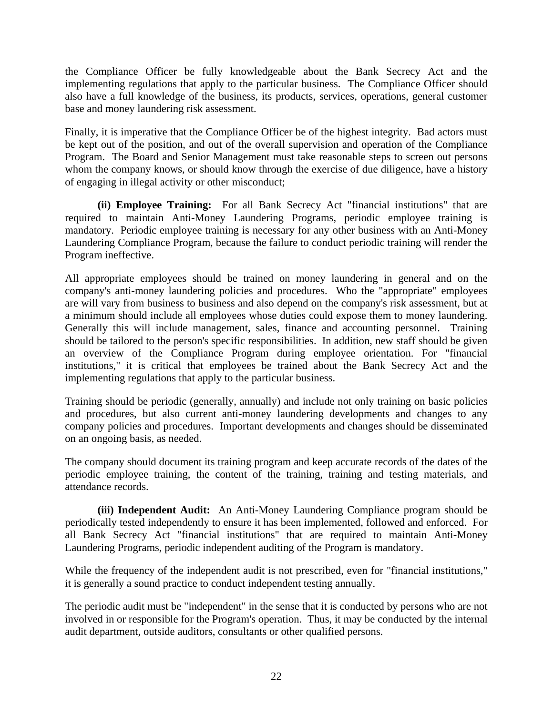the Compliance Officer be fully knowledgeable about the Bank Secrecy Act and the implementing regulations that apply to the particular business. The Compliance Officer should also have a full knowledge of the business, its products, services, operations, general customer base and money laundering risk assessment.

Finally, it is imperative that the Compliance Officer be of the highest integrity. Bad actors must be kept out of the position, and out of the overall supervision and operation of the Compliance Program. The Board and Senior Management must take reasonable steps to screen out persons whom the company knows, or should know through the exercise of due diligence, have a history of engaging in illegal activity or other misconduct;

**(ii) Employee Training:** For all Bank Secrecy Act "financial institutions" that are required to maintain Anti-Money Laundering Programs, periodic employee training is mandatory. Periodic employee training is necessary for any other business with an Anti-Money Laundering Compliance Program, because the failure to conduct periodic training will render the Program ineffective.

All appropriate employees should be trained on money laundering in general and on the company's anti-money laundering policies and procedures. Who the "appropriate" employees are will vary from business to business and also depend on the company's risk assessment, but at a minimum should include all employees whose duties could expose them to money laundering. Generally this will include management, sales, finance and accounting personnel. Training should be tailored to the person's specific responsibilities. In addition, new staff should be given an overview of the Compliance Program during employee orientation. For "financial institutions," it is critical that employees be trained about the Bank Secrecy Act and the implementing regulations that apply to the particular business.

Training should be periodic (generally, annually) and include not only training on basic policies and procedures, but also current anti-money laundering developments and changes to any company policies and procedures. Important developments and changes should be disseminated on an ongoing basis, as needed.

The company should document its training program and keep accurate records of the dates of the periodic employee training, the content of the training, training and testing materials, and attendance records.

**(iii) Independent Audit:** An Anti-Money Laundering Compliance program should be periodically tested independently to ensure it has been implemented, followed and enforced. For all Bank Secrecy Act "financial institutions" that are required to maintain Anti-Money Laundering Programs, periodic independent auditing of the Program is mandatory.

While the frequency of the independent audit is not prescribed, even for "financial institutions," it is generally a sound practice to conduct independent testing annually.

The periodic audit must be "independent" in the sense that it is conducted by persons who are not involved in or responsible for the Program's operation. Thus, it may be conducted by the internal audit department, outside auditors, consultants or other qualified persons.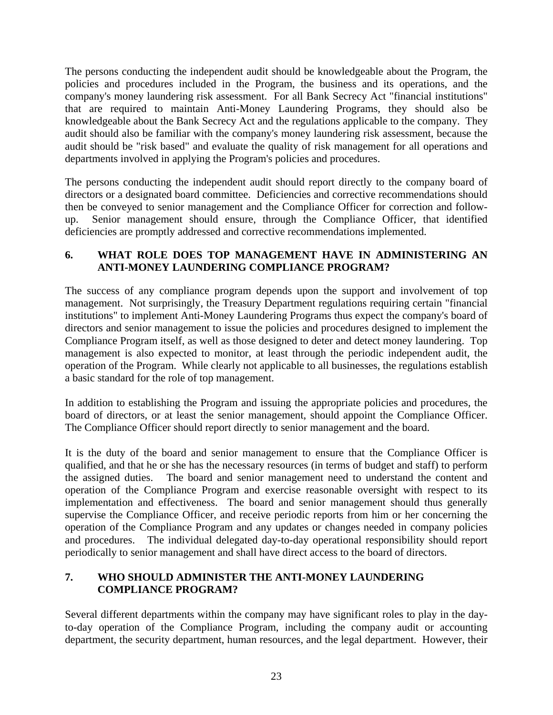The persons conducting the independent audit should be knowledgeable about the Program, the policies and procedures included in the Program, the business and its operations, and the company's money laundering risk assessment. For all Bank Secrecy Act "financial institutions" that are required to maintain Anti-Money Laundering Programs, they should also be knowledgeable about the Bank Secrecy Act and the regulations applicable to the company. They audit should also be familiar with the company's money laundering risk assessment, because the audit should be "risk based" and evaluate the quality of risk management for all operations and departments involved in applying the Program's policies and procedures.

The persons conducting the independent audit should report directly to the company board of directors or a designated board committee. Deficiencies and corrective recommendations should then be conveyed to senior management and the Compliance Officer for correction and followup. Senior management should ensure, through the Compliance Officer, that identified deficiencies are promptly addressed and corrective recommendations implemented.

### **6. WHAT ROLE DOES TOP MANAGEMENT HAVE IN ADMINISTERING AN ANTI-MONEY LAUNDERING COMPLIANCE PROGRAM?**

The success of any compliance program depends upon the support and involvement of top management. Not surprisingly, the Treasury Department regulations requiring certain "financial institutions" to implement Anti-Money Laundering Programs thus expect the company's board of directors and senior management to issue the policies and procedures designed to implement the Compliance Program itself, as well as those designed to deter and detect money laundering. Top management is also expected to monitor, at least through the periodic independent audit, the operation of the Program. While clearly not applicable to all businesses, the regulations establish a basic standard for the role of top management.

In addition to establishing the Program and issuing the appropriate policies and procedures, the board of directors, or at least the senior management, should appoint the Compliance Officer. The Compliance Officer should report directly to senior management and the board.

It is the duty of the board and senior management to ensure that the Compliance Officer is qualified, and that he or she has the necessary resources (in terms of budget and staff) to perform the assigned duties. The board and senior management need to understand the content and operation of the Compliance Program and exercise reasonable oversight with respect to its implementation and effectiveness. The board and senior management should thus generally supervise the Compliance Officer, and receive periodic reports from him or her concerning the operation of the Compliance Program and any updates or changes needed in company policies and procedures. The individual delegated day-to-day operational responsibility should report periodically to senior management and shall have direct access to the board of directors.

# **7. WHO SHOULD ADMINISTER THE ANTI-MONEY LAUNDERING COMPLIANCE PROGRAM?**

Several different departments within the company may have significant roles to play in the dayto-day operation of the Compliance Program, including the company audit or accounting department, the security department, human resources, and the legal department. However, their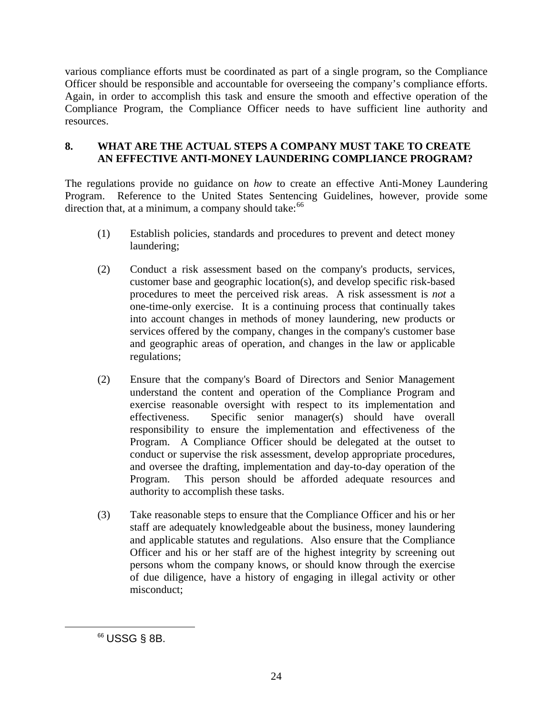various compliance efforts must be coordinated as part of a single program, so the Compliance Officer should be responsible and accountable for overseeing the company's compliance efforts. Again, in order to accomplish this task and ensure the smooth and effective operation of the Compliance Program, the Compliance Officer needs to have sufficient line authority and resources.

## **8. WHAT ARE THE ACTUAL STEPS A COMPANY MUST TAKE TO CREATE AN EFFECTIVE ANTI-MONEY LAUNDERING COMPLIANCE PROGRAM?**

The regulations provide no guidance on *how* to create an effective Anti-Money Laundering Program. Reference to the United States Sentencing Guidelines, however, provide some direction that, at a minimum, a company should take: $66$ 

- (1) Establish policies, standards and procedures to prevent and detect money laundering;
- (2) Conduct a risk assessment based on the company's products, services, customer base and geographic location(s), and develop specific risk-based procedures to meet the perceived risk areas. A risk assessment is *not* a one-time-only exercise. It is a continuing process that continually takes into account changes in methods of money laundering, new products or services offered by the company, changes in the company's customer base and geographic areas of operation, and changes in the law or applicable regulations;
- (2) Ensure that the company's Board of Directors and Senior Management understand the content and operation of the Compliance Program and exercise reasonable oversight with respect to its implementation and effectiveness. Specific senior manager(s) should have overall responsibility to ensure the implementation and effectiveness of the Program. A Compliance Officer should be delegated at the outset to conduct or supervise the risk assessment, develop appropriate procedures, and oversee the drafting, implementation and day-to-day operation of the Program. This person should be afforded adequate resources and authority to accomplish these tasks.
- (3) Take reasonable steps to ensure that the Compliance Officer and his or her staff are adequately knowledgeable about the business, money laundering and applicable statutes and regulations. Also ensure that the Compliance Officer and his or her staff are of the highest integrity by screening out persons whom the company knows, or should know through the exercise of due diligence, have a history of engaging in illegal activity or other misconduct;

<span id="page-23-0"></span> $\overline{a}$ 

<sup>66</sup> USSG § 8B.